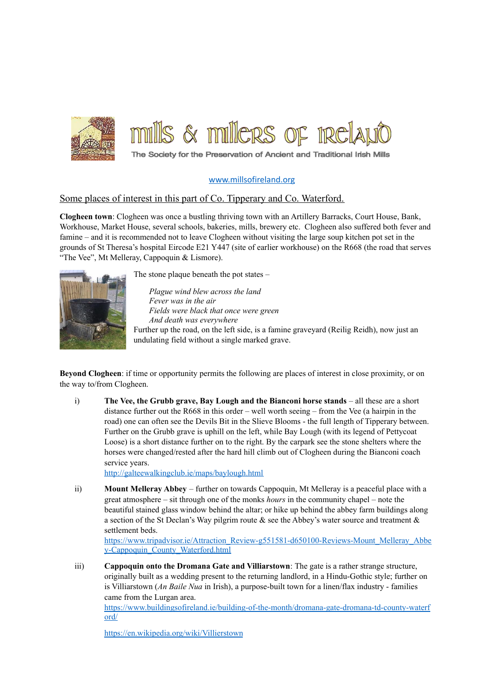

## [www.millsofireland.org](http://www.millsofireland.org)

## Some places of interest in this part of Co. Tipperary and Co. Waterford.

**Clogheen town**: Clogheen was once a bustling thriving town with an Artillery Barracks, Court House, Bank, Workhouse, Market House, several schools, bakeries, mills, brewery etc. Clogheen also suffered both fever and famine – and it is recommended not to leave Clogheen without visiting the large soup kitchen pot set in the grounds of St Theresa's hospital Eircode E21 Y447 (site of earlier workhouse) on the R668 (the road that serves "The Vee", Mt Melleray, Cappoquin & Lismore).



The stone plaque beneath the pot states –

*Plague wind blew across the land Fever was in the air Fields were black that once were green And death was everywhere* Further up the road, on the left side, is a famine graveyard (Reilig Reidh), now just an undulating field without a single marked grave.

**Beyond Clogheen**: if time or opportunity permits the following are places of interest in close proximity, or on the way to/from Clogheen.

i) **The Vee, the Grubb grave, Bay Lough and the Bianconi horse stands** – all these are a short distance further out the R668 in this order – well worth seeing – from the Vee (a hairpin in the road) one can often see the Devils Bit in the Slieve Blooms - the full length of Tipperary between. Further on the Grubb grave is uphill on the left, while Bay Lough (with its legend of Pettycoat Loose) is a short distance further on to the right. By the carpark see the stone shelters where the horses were changed/rested after the hard hill climb out of Clogheen during the Bianconi coach service years.

<http://galteewalkingclub.ie/maps/baylough.html>

ii) **Mount Melleray Abbey** – further on towards Cappoquin, Mt Melleray is a peaceful place with a great atmosphere – sit through one of the monks *hours* in the community chapel – note the beautiful stained glass window behind the altar; or hike up behind the abbey farm buildings along a section of the St Declan's Way pilgrim route  $\&$  see the Abbey's water source and treatment  $\&$ settlement beds.

[https://www.tripadvisor.ie/Attraction\\_Review-g551581-d650100-Reviews-Mount\\_Melleray\\_Abbe](https://www.tripadvisor.ie/Attraction_Review-g551581-d650100-Reviews-Mount_Melleray_Abbey-Cappoquin_County_Waterford.html) [y-Cappoquin\\_County\\_Waterford.html](https://www.tripadvisor.ie/Attraction_Review-g551581-d650100-Reviews-Mount_Melleray_Abbey-Cappoquin_County_Waterford.html)

iii) **Cappoquin onto the Dromana Gate and Villiarstown**: The gate is a rather strange structure, originally built as a wedding present to the returning landlord, in a Hindu-Gothic style; further on is Villiarstown (*An Baile Nua* in Irish), a purpose-built town for a linen/flax industry - families came from the Lurgan area.

[https://www.buildingsofireland.ie/building-of-the-month/dromana-gate-dromana-td-county-waterf](https://www.buildingsofireland.ie/building-of-the-month/dromana-gate-dromana-td-county-waterford/) [ord/](https://www.buildingsofireland.ie/building-of-the-month/dromana-gate-dromana-td-county-waterford/)

<https://en.wikipedia.org/wiki/Villierstown>